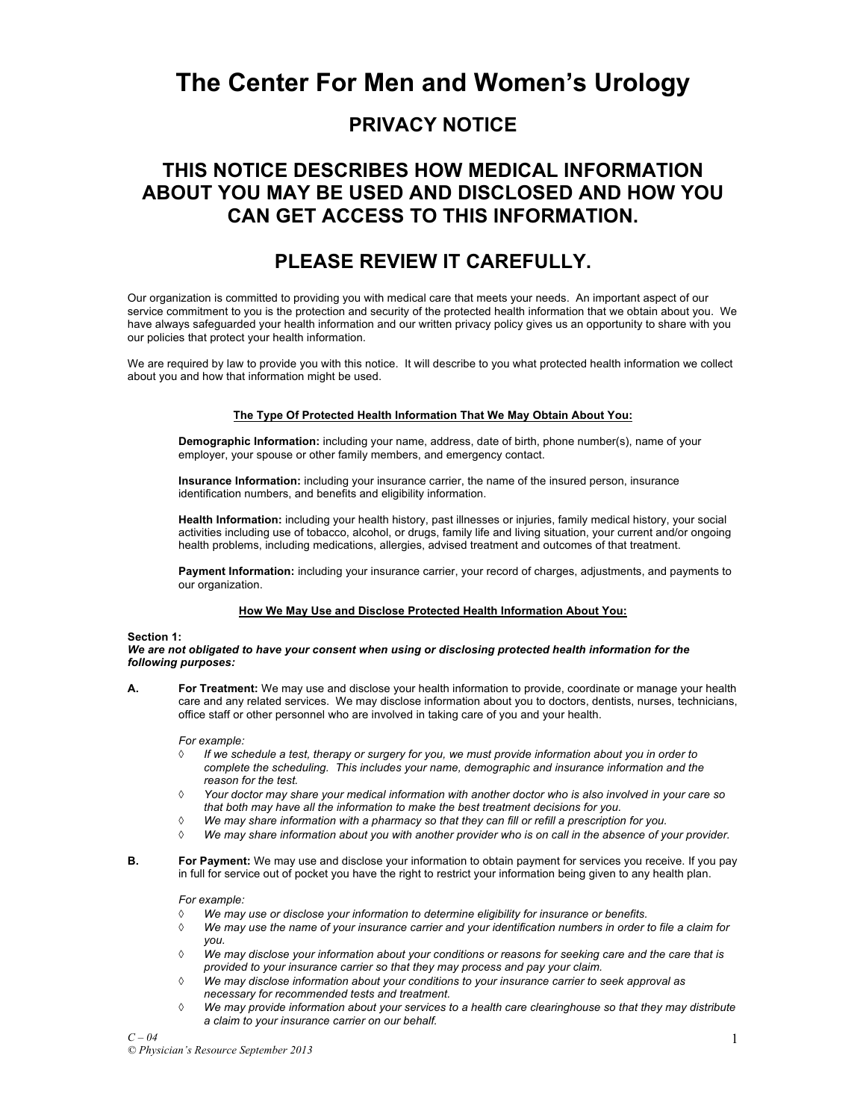# **The Center For Men and Women's Urology**

# **PRIVACY NOTICE**

# **THIS NOTICE DESCRIBES HOW MEDICAL INFORMATION ABOUT YOU MAY BE USED AND DISCLOSED AND HOW YOU CAN GET ACCESS TO THIS INFORMATION.**

# **PLEASE REVIEW IT CAREFULLY.**

Our organization is committed to providing you with medical care that meets your needs. An important aspect of our service commitment to you is the protection and security of the protected health information that we obtain about you. We have always safeguarded your health information and our written privacy policy gives us an opportunity to share with you our policies that protect your health information.

We are required by law to provide you with this notice. It will describe to you what protected health information we collect about you and how that information might be used.

# **The Type Of Protected Health Information That We May Obtain About You:**

**Demographic Information:** including your name, address, date of birth, phone number(s), name of your employer, your spouse or other family members, and emergency contact.

**Insurance Information:** including your insurance carrier, the name of the insured person, insurance identification numbers, and benefits and eligibility information.

**Health Information:** including your health history, past illnesses or injuries, family medical history, your social activities including use of tobacco, alcohol, or drugs, family life and living situation, your current and/or ongoing health problems, including medications, allergies, advised treatment and outcomes of that treatment.

**Payment Information:** including your insurance carrier, your record of charges, adjustments, and payments to our organization.

## **How We May Use and Disclose Protected Health Information About You:**

## **Section 1:**

*We are not obligated to have your consent when using or disclosing protected health information for the following purposes:*

**A. For Treatment:** We may use and disclose your health information to provide, coordinate or manage your health care and any related services. We may disclose information about you to doctors, dentists, nurses, technicians, office staff or other personnel who are involved in taking care of you and your health.

*For example:*

- à *If we schedule a test, therapy or surgery for you, we must provide information about you in order to complete the scheduling. This includes your name, demographic and insurance information and the reason for the test.*
- à *Your doctor may share your medical information with another doctor who is also involved in your care so that both may have all the information to make the best treatment decisions for you.*
- à *We may share information with a pharmacy so that they can fill or refill a prescription for you.*
- à *We may share information about you with another provider who is on call in the absence of your provider.*
- **B. For Payment:** We may use and disclose your information to obtain payment for services you receive. If you pay in full for service out of pocket you have the right to restrict your information being given to any health plan.

*For example:*

- à *We may use or disclose your information to determine eligibility for insurance or benefits.*
- à *We may use the name of your insurance carrier and your identification numbers in order to file a claim for you.*
- à *We may disclose your information about your conditions or reasons for seeking care and the care that is provided to your insurance carrier so that they may process and pay your claim.*
- à *We may disclose information about your conditions to your insurance carrier to seek approval as necessary for recommended tests and treatment.*
- à *We may provide information about your services to a health care clearinghouse so that they may distribute a claim to your insurance carrier on our behalf.*

*C – 04*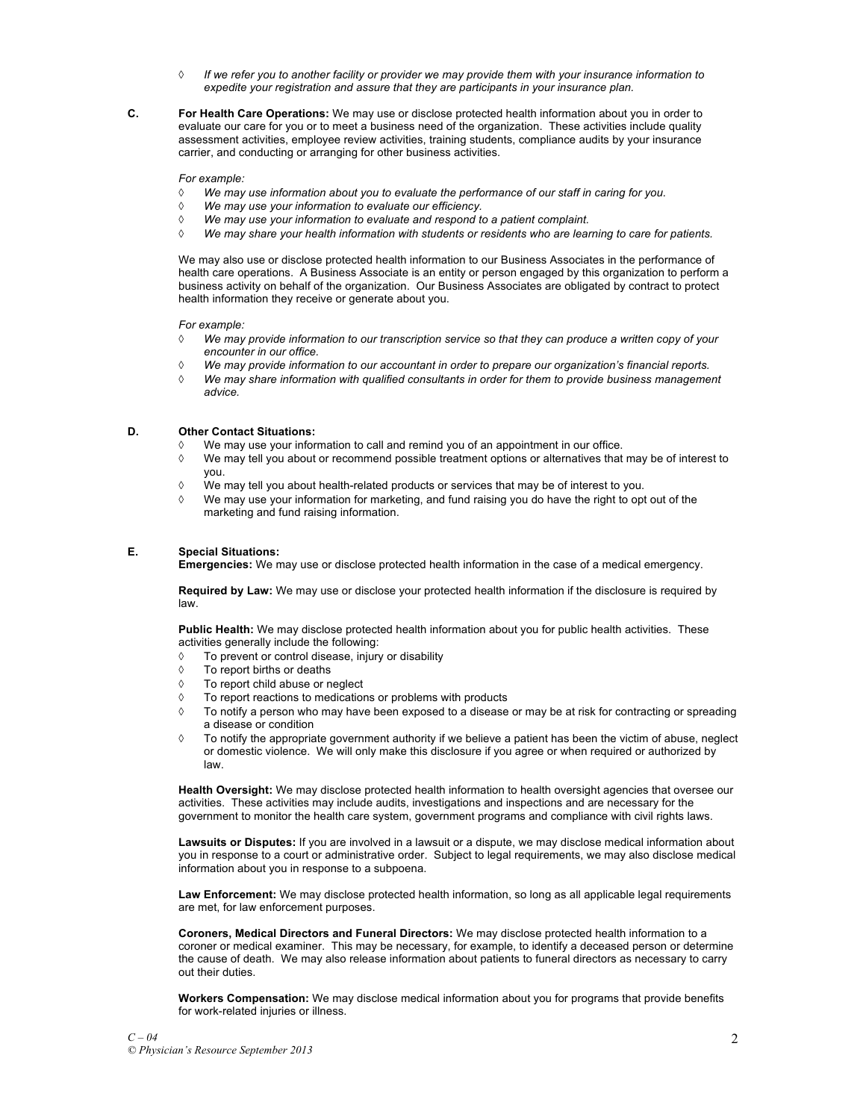- à *If we refer you to another facility or provider we may provide them with your insurance information to expedite your registration and assure that they are participants in your insurance plan.*
- **C. For Health Care Operations:** We may use or disclose protected health information about you in order to evaluate our care for you or to meet a business need of the organization. These activities include quality assessment activities, employee review activities, training students, compliance audits by your insurance carrier, and conducting or arranging for other business activities.

*For example:*

- à *We may use information about you to evaluate the performance of our staff in caring for you.*
- à *We may use your information to evaluate our efficiency.*
- à *We may use your information to evaluate and respond to a patient complaint.*
- à *We may share your health information with students or residents who are learning to care for patients.*

We may also use or disclose protected health information to our Business Associates in the performance of health care operations. A Business Associate is an entity or person engaged by this organization to perform a business activity on behalf of the organization. Our Business Associates are obligated by contract to protect health information they receive or generate about you.

*For example:*

- à *We may provide information to our transcription service so that they can produce a written copy of your encounter in our office.*
- à *We may provide information to our accountant in order to prepare our organization's financial reports.*
- à *We may share information with qualified consultants in order for them to provide business management advice.*

### **D. Other Contact Situations:**

- $\Diamond$  We may use your information to call and remind you of an appointment in our office.
- $\Diamond$  We may tell you about or recommend possible treatment options or alternatives that may be of interest to you.
- $\Diamond$  We may tell you about health-related products or services that may be of interest to you.
- $\Diamond$  We may use your information for marketing, and fund raising you do have the right to opt out of the marketing and fund raising information.

### **E. Special Situations:**

**Emergencies:** We may use or disclose protected health information in the case of a medical emergency.

**Required by Law:** We may use or disclose your protected health information if the disclosure is required by law.

**Public Health:** We may disclose protected health information about you for public health activities. These activities generally include the following:

- $\Diamond$  To prevent or control disease, injury or disability
- $\Diamond$  To report births or deaths
- $\Diamond$  To report child abuse or neglect
- $\Diamond$  To report reactions to medications or problems with products
- $\Diamond$  To notify a person who may have been exposed to a disease or may be at risk for contracting or spreading a disease or condition
- $\Diamond$  To notify the appropriate government authority if we believe a patient has been the victim of abuse, neglect or domestic violence. We will only make this disclosure if you agree or when required or authorized by law.

**Health Oversight:** We may disclose protected health information to health oversight agencies that oversee our activities. These activities may include audits, investigations and inspections and are necessary for the government to monitor the health care system, government programs and compliance with civil rights laws.

**Lawsuits or Disputes:** If you are involved in a lawsuit or a dispute, we may disclose medical information about you in response to a court or administrative order. Subject to legal requirements, we may also disclose medical information about you in response to a subpoena.

**Law Enforcement:** We may disclose protected health information, so long as all applicable legal requirements are met, for law enforcement purposes.

**Coroners, Medical Directors and Funeral Directors:** We may disclose protected health information to a coroner or medical examiner. This may be necessary, for example, to identify a deceased person or determine the cause of death. We may also release information about patients to funeral directors as necessary to carry out their duties.

**Workers Compensation:** We may disclose medical information about you for programs that provide benefits for work-related injuries or illness.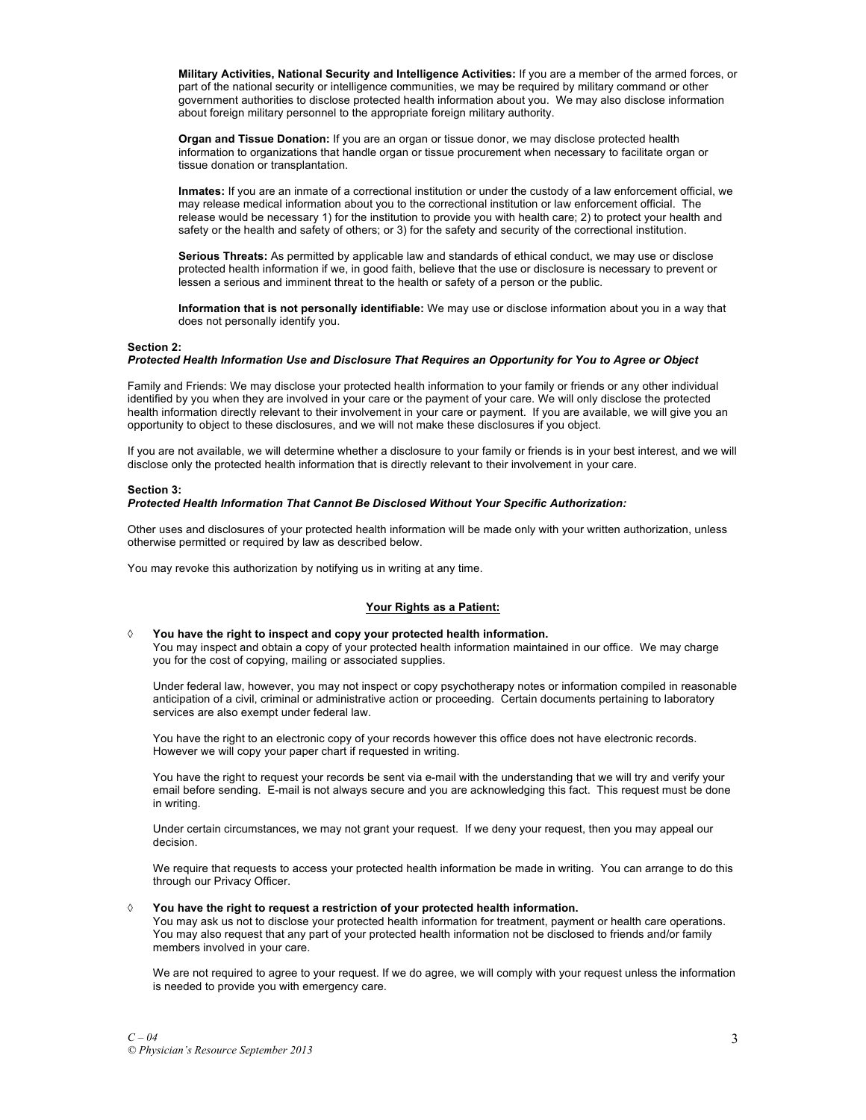**Military Activities, National Security and Intelligence Activities:** If you are a member of the armed forces, or part of the national security or intelligence communities, we may be required by military command or other government authorities to disclose protected health information about you. We may also disclose information about foreign military personnel to the appropriate foreign military authority.

**Organ and Tissue Donation:** If you are an organ or tissue donor, we may disclose protected health information to organizations that handle organ or tissue procurement when necessary to facilitate organ or tissue donation or transplantation.

**Inmates:** If you are an inmate of a correctional institution or under the custody of a law enforcement official, we may release medical information about you to the correctional institution or law enforcement official. The release would be necessary 1) for the institution to provide you with health care; 2) to protect your health and safety or the health and safety of others; or 3) for the safety and security of the correctional institution.

**Serious Threats:** As permitted by applicable law and standards of ethical conduct, we may use or disclose protected health information if we, in good faith, believe that the use or disclosure is necessary to prevent or lessen a serious and imminent threat to the health or safety of a person or the public.

**Information that is not personally identifiable:** We may use or disclose information about you in a way that does not personally identify you.

#### **Section 2:**

# *Protected Health Information Use and Disclosure That Requires an Opportunity for You to Agree or Object*

Family and Friends: We may disclose your protected health information to your family or friends or any other individual identified by you when they are involved in your care or the payment of your care. We will only disclose the protected health information directly relevant to their involvement in your care or payment. If you are available, we will give you an opportunity to object to these disclosures, and we will not make these disclosures if you object.

If you are not available, we will determine whether a disclosure to your family or friends is in your best interest, and we will disclose only the protected health information that is directly relevant to their involvement in your care.

#### **Section 3:**

#### *Protected Health Information That Cannot Be Disclosed Without Your Specific Authorization:*

Other uses and disclosures of your protected health information will be made only with your written authorization, unless otherwise permitted or required by law as described below.

You may revoke this authorization by notifying us in writing at any time.

#### **Your Rights as a Patient:**

à **You have the right to inspect and copy your protected health information.** 

You may inspect and obtain a copy of your protected health information maintained in our office. We may charge you for the cost of copying, mailing or associated supplies.

Under federal law, however, you may not inspect or copy psychotherapy notes or information compiled in reasonable anticipation of a civil, criminal or administrative action or proceeding. Certain documents pertaining to laboratory services are also exempt under federal law.

You have the right to an electronic copy of your records however this office does not have electronic records. However we will copy your paper chart if requested in writing.

You have the right to request your records be sent via e-mail with the understanding that we will try and verify your email before sending. E-mail is not always secure and you are acknowledging this fact. This request must be done in writing.

Under certain circumstances, we may not grant your request. If we deny your request, then you may appeal our decision.

We require that requests to access your protected health information be made in writing. You can arrange to do this through our Privacy Officer.

# à **You have the right to request a restriction of your protected health information.**

You may ask us not to disclose your protected health information for treatment, payment or health care operations. You may also request that any part of your protected health information not be disclosed to friends and/or family members involved in your care.

We are not required to agree to your request. If we do agree, we will comply with your request unless the information is needed to provide you with emergency care.